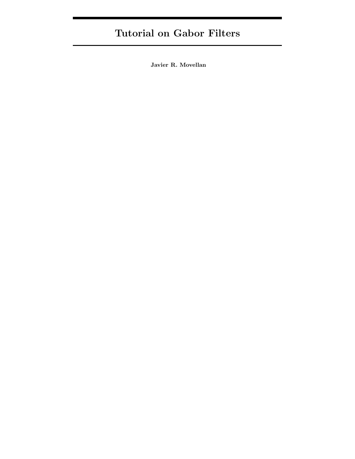# Tutorial on Gabor Filters

Javier R. Movellan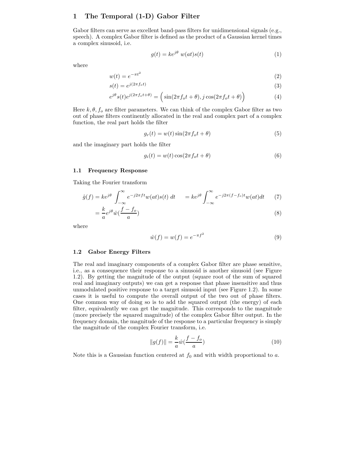# 1 The Temporal (1-D) Gabor Filter

Gabor filters can serve as excellent band-pass filters for unidimensional signals (e.g., speech). A complex Gabor filter is defined as the product of a Gaussian kernel times a complex sinusoid, i.e.

$$
g(t) = ke^{j\theta} w(at)s(t)
$$
 (1)

where

$$
w(t) = e^{-\pi t^2} \tag{2}
$$

$$
s(t) = e^{\jmath(2\pi f_o t)}\tag{3}
$$

$$
e^{j\theta}s(t)e^{j(2\pi f_o t + \theta)} = \left(\sin(2\pi f_o t + \theta), j\cos(2\pi f_o t + \theta)\right)
$$
(4)

Here  $k, \theta, f_0$  are filter parameters. We can think of the complex Gabor filter as two out of phase filters continently allocated in the real and complex part of a complex function, the real part holds the filter

$$
g_r(t) = w(t)\sin(2\pi f_o t + \theta)
$$
\n(5)

and the imaginary part holds the filter

$$
g_i(t) = w(t)\cos(2\pi f_o t + \theta)
$$
\n(6)

#### 1.1 Frequency Response

Taking the Fourier transform

$$
\hat{g}(f) = ke^{j\theta} \int_{-\infty}^{\infty} e^{-j2\pi ft} w(at)s(t) dt = ke^{j\theta} \int_{-\infty}^{\infty} e^{-j2\pi (f - f_o)t} w(at) dt \tag{7}
$$

$$
=\frac{k}{a}e^{j\theta}\hat{w}(\frac{f-f_o}{a})
$$
\n(8)

where

$$
\hat{w}(f) = w(f) = e^{-\pi f^2} \tag{9}
$$

#### 1.2 Gabor Energy Filters

The real and imaginary components of a complex Gabor filter are phase sensitive, i.e., as a consequence their response to a sinusoid is another sinusoid (see Figure 1.2). By getting the magnitude of the output (square root of the sum of squared real and imaginary outputs) we can get a response that phase insensitive and thus unmodulated positive response to a target sinusoid input (see Figure 1.2). In some cases it is useful to compute the overall output of the two out of phase filters. One common way of doing so is to add the squared output (the energy) of each filter, equivalently we can get the magnitude. This corresponds to the magnitude (more precisely the squared magnitude) of the complex Gabor filter output. In the frequency domain, the magnitude of the response to a particular frequency is simply the magnitude of the complex Fourier transform, i.e.

$$
||g(f)|| = \frac{k}{a}\hat{w}(\frac{f - f_o}{a})
$$
\n(10)

Note this is a Gaussian function centered at  $f_0$  and with width proportional to a.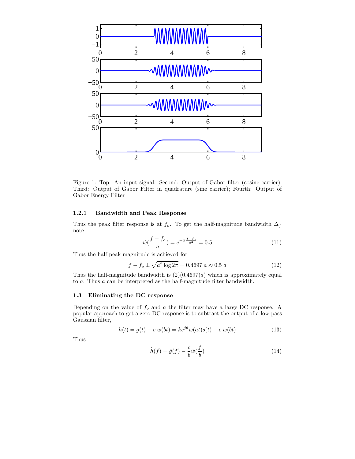

Figure 1: Top: An input signal. Second: Output of Gabor filter (cosine carrier). Third: Output of Gabor Filter in quadrature (sine carrier); Fourth: Output of Gabor Energy Filter

## 1.2.1 Bandwidth and Peak Response

Thus the peak filter response is at  $f_o.$  To get the half-magnitude bandwidth  $\Delta_f$ note

$$
\hat{w}\left(\frac{f - f_o}{a}\right) = e^{-\pi \frac{f - f_o}{a^2}} = 0.5\tag{11}
$$

Thus the half peak magnitude is achieved for

$$
f - f_o \pm \sqrt{a^2 \log 2\pi} = 0.4697 \ a \approx 0.5 \ a \tag{12}
$$

Thus the half-magnitude bandwidth is  $(2)(0.4697)a$  which is approximately equal to a. Thus a can be interpreted as the half-magnitude filter bandwidth.

#### 1.3 Eliminating the DC response

Depending on the value of  $f_o$  and  $a$  the filter may have a large DC response. A popular approach to get a zero DC response is to subtract the output of a low-pass Gaussian filter,

$$
h(t) = g(t) - c w(bt) = ke^{j\theta}w(at)s(t) - c w(bt)
$$
\n(13)

Thus

$$
\hat{h}(f) = \hat{g}(f) - \frac{c}{b}\hat{w}(\frac{f}{b})
$$
\n(14)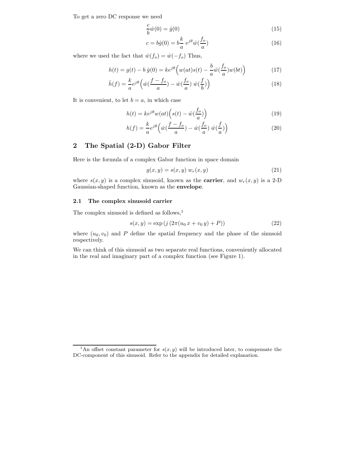To get a zero DC response we need

$$
\frac{c}{b}\hat{w}(0) = \hat{g}(0) \tag{15}
$$

$$
c = b\hat{g}(0) = b\frac{k}{a} e^{j\theta} \hat{w}(\frac{f_o}{a})
$$
\n(16)

where we used the fact that  $\hat{w}(f_o) = \hat{w}(-f_o)$  Thus,

$$
h(t) = g(t) - b \hat{g}(0) = ke^{j\theta} \left( w(at)s(t) - \frac{b}{a} \hat{w} \left( \frac{f_o}{a} \right) w(bt) \right)
$$
(17)

$$
\hat{h}(f) = \frac{k}{a}e^{j\theta} \left(\hat{w}\left(\frac{f-f_o}{a}\right) - \hat{w}\left(\frac{f_o}{a}\right)\hat{w}\left(\frac{f}{b}\right)\right) \tag{18}
$$

It is convenient, to let  $b = a$ , in which case

$$
h(t) = ke^{j\theta}w(at)\left(s(t) - \hat{w}(\frac{f_o}{a})\right)
$$
\n(19)

$$
h(f) = \frac{k}{a}e^{j\theta} \left(\hat{w}\left(\frac{f-f_o}{a}\right) - \hat{w}\left(\frac{f_o}{a}\right)\hat{w}\left(\frac{f}{a}\right)\right)
$$
(20)

# 2 The Spatial (2-D) Gabor Filter

Here is the formula of a complex Gabor function in space domain

$$
g(x,y) = s(x,y) w_r(x,y)
$$
\n
$$
(21)
$$

where  $s(x, y)$  is a complex sinusoid, known as the **carrier**, and  $w_r(x, y)$  is a 2-D Gaussian-shaped function, known as the envelope.

## 2.1 The complex sinusoid carrier

The complex sinusoid is defined as follows, $<sup>1</sup>$ </sup>

$$
s(x, y) = \exp\left(j\left(2\pi(u_0 x + v_0 y) + P\right)\right)
$$
\n(22)

where  $(u_0, v_0)$  and P define the spatial frequency and the phase of the sinusoid respectively.

We can think of this sinusoid as two separate real functions, conveniently allocated in the real and imaginary part of a complex function (see Figure 1).

<sup>&</sup>lt;sup>1</sup>An offset constant parameter for  $s(x, y)$  will be introduced later, to compensate the DC-component of this sinusoid. Refer to the appendix for detailed explanation.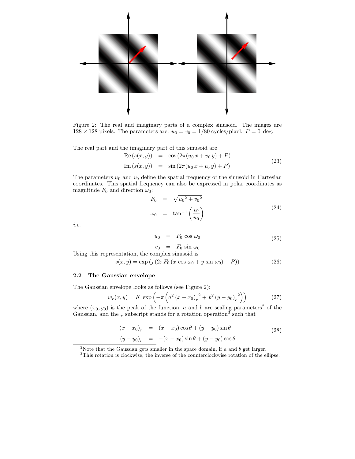

Figure 2: The real and imaginary parts of a complex sinusoid. The images are  $128 \times 128$  pixels. The parameters are:  $u_0 = v_0 = 1/80$  cycles/pixel,  $P = 0$  deg.

The real part and the imaginary part of this sinusoid are

$$
Re(s(x, y)) = cos(2\pi(u_0 x + v_0 y) + P)
$$
  
\n
$$
Im(s(x, y)) = sin(2\pi(u_0 x + v_0 y) + P)
$$
\n(23)

The parameters  $u_0$  and  $v_0$  define the spatial frequency of the sinusoid in Cartesian coordinates. This spatial frequency can also be expressed in polar coordinates as magnitude  $F_0$  and direction  $\omega_0$ :

$$
F_0 = \sqrt{u_0^2 + v_0^2}
$$
  
\n
$$
\omega_0 = \tan^{-1}\left(\frac{v_0}{u_0}\right)
$$
\n(24)

i.e.

$$
u_0 = F_0 \cos \omega_0 \tag{25}
$$

 $v_0 = F_0 \sin \omega_0$ Using this representation, the complex sinusoid is

$$
s(x, y) = \exp\left(j\left(2\pi F_0\left(x\cos\omega_0 + y\sin\omega_0\right) + P\right)\right)
$$
\n(26)

## 2.2 The Gaussian envelope

The Gaussian envelope looks as follows (see Figure 2):

$$
w_r(x,y) = K \exp\left(-\pi \left(a^2 \left(x - x_0\right)_r^2 + b^2 \left(y - y_0\right)_r^2\right)\right) \tag{27}
$$

where  $(x_0, y_0)$  is the peak of the function, a and b are scaling parameters<sup>2</sup> of the Gaussian, and the  $_r$  subscript stands for a rotation operation<sup>3</sup> such that

$$
(x - x_0)_r = (x - x_0) \cos \theta + (y - y_0) \sin \theta
$$
  
\n
$$
(y - y_0)_r = -(x - x_0) \sin \theta + (y - y_0) \cos \theta
$$
 (28)

<sup>&</sup>lt;sup>2</sup>Note that the Gaussian gets smaller in the space domain, if  $a$  and  $b$  get larger.

<sup>&</sup>lt;sup>3</sup>This rotation is clockwise, the inverse of the counterclockwise rotation of the ellipse.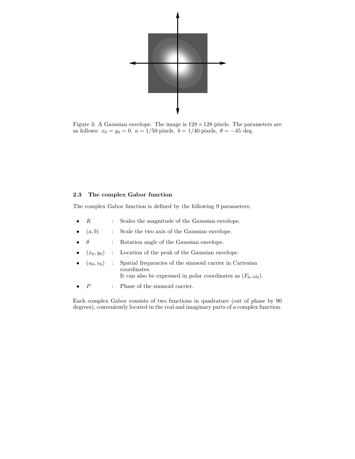

Figure 3: A Gaussian envelope. The image is  $128 \times 128$  pixels. The parameters are as follows:  $x_0 = y_0 = 0$ .  $a = 1/50$  pixels,  $b = 1/40$  pixels,  $\theta = -45$  deg.

# 2.3 The complex Gabor function

The complex Gabor function is defined by the following 9 parameters;

- $K$  : Scales the magnitude of the Gaussian envelope.
- $(a, b)$  : Scale the two axis of the Gaussian envelope.
- $\theta$  : Rotation angle of the Gaussian envelope.
- $(x_0, y_0)$  : Location of the peak of the Gaussian envelope.
- $(u_0, v_0)$  : Spatial frequencies of the sinusoid carrier in Cartesian coordinates. It can also be expressed in polar coordinates as  $(F_0, \omega_0)$ .
- $P$  : Phase of the sinusoid carrier.

Each complex Gabor consists of two functions in quadrature (out of phase by 90 degrees), conveniently located in the real and imaginary parts of a complex function.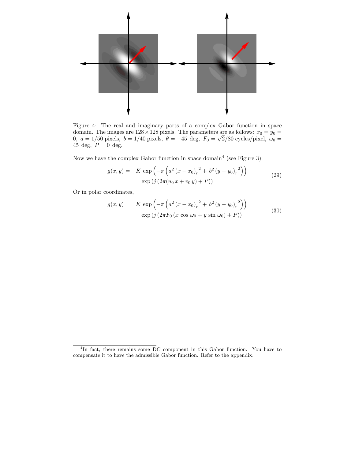

Figure 4: The real and imaginary parts of a complex Gabor function in space domain. The images are  $128 \times 128$  pixels. The parameters are as follows:  $x_0 = y_0 =$ 0,  $a = 1/50$  pixels,  $b = 1/40$  pixels,  $\theta = -45$  deg,  $F_0 = \sqrt{2}/80$  cycles/pixel,  $\omega_0 =$ 45 deg,  $P = 0$  deg.

Now we have the complex Gabor function in space domain<sup>4</sup> (see Figure 3):

$$
g(x,y) = K \exp\left(-\pi \left(a^2 (x - x_0)_r^2 + b^2 (y - y_0)_r^2\right)\right)
$$
  
 
$$
\exp\left(j \left(2\pi (u_0 x + v_0 y) + P\right)\right)
$$
 (29)

Or in polar coordinates,

$$
g(x,y) = K \exp\left(-\pi \left(a^2 (x - x_0)_r^2 + b^2 (y - y_0)_r^2\right)\right)
$$
  
 
$$
\exp\left(j \left(2\pi F_0 (x \cos \omega_0 + y \sin \omega_0) + P\right)\right)
$$
 (30)

<sup>&</sup>lt;sup>4</sup>In fact, there remains some DC component in this Gabor function. You have to compensate it to have the admissible Gabor function. Refer to the appendix.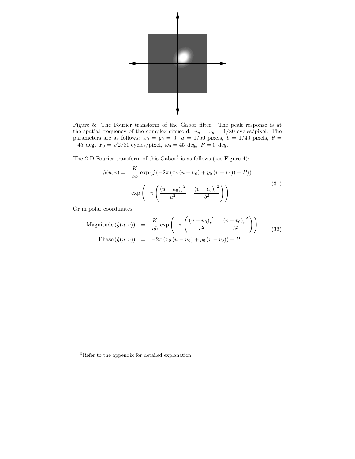

Figure 5: The Fourier transform of the Gabor filter. The peak response is at the spatial frequency of the complex sinusoid:  $u_p = v_p = 1/80$  cycles/pixel. The parameters are as follows:  $x_0 = y_0 = 0$ ,  $a = 1/50$  pixels,  $b = 1/40$  pixels,  $\theta =$  $-45 \text{ deg}, F_0 = \sqrt{2}/80 \text{ cycles/pixel}, \omega_0 = 45 \text{ deg}, P = 0 \text{ deg}.$ 

The 2-D Fourier transform of this  $Gabor<sup>5</sup>$  is as follows (see Figure 4):

$$
\hat{g}(u,v) = \frac{K}{ab} \exp\left(j\left(-2\pi\left(x_0\left(u-u_0\right)+y_0\left(v-v_0\right)\right)+P\right)\right) \exp\left(-\pi\left(\frac{\left(u-u_0\right)_r^2}{a^2}+\frac{\left(v-v_0\right)_r^2}{b^2}\right)\right)
$$
\n(31)

Or in polar coordinates,

$$
\text{Magnitude}(\hat{g}(u, v)) = \frac{K}{ab} \exp\left(-\pi \left(\frac{(u - u_0)_r^2}{a^2} + \frac{(v - v_0)_r^2}{b^2}\right)\right) \tag{32}
$$
\n
$$
\text{Phase}(\hat{g}(u, v)) = -2\pi (x_0 (u - u_0) + y_0 (v - v_0)) + P
$$

<sup>5</sup>Refer to the appendix for detailed explanation.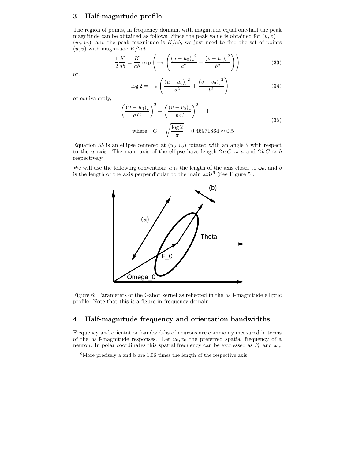# 3 Half-magnitude profile

The region of points, in frequency domain, with magnitude equal one-half the peak magnitude can be obtained as follows. Since the peak value is obtained for  $(u, v)$  =  $(u_0, v_0)$ , and the peak magnitude is  $K/ab$ , we just need to find the set of points  $(u, v)$  with magnitude  $K/2ab$ .

$$
\frac{1}{2}\frac{K}{ab} = \frac{K}{ab} \exp\left(-\pi \left(\frac{(u - u_0)_r^2}{a^2} + \frac{(v - v_0)_r^2}{b^2}\right)\right) \tag{33}
$$

or,

$$
-\log 2 = -\pi \left( \frac{(u - u_0)_r^2}{a^2} + \frac{(v - v_0)_r^2}{b^2} \right)
$$
 (34)

or equivalently,

$$
\left(\frac{(u-u_0)_r}{a C}\right)^2 + \left(\frac{(v-v_0)_r}{b C}\right)^2 = 1
$$
\nwhere  $C = \sqrt{\frac{\log 2}{\pi}} = 0.46971864 \approx 0.5$  (35)

Equation 35 is an ellipse centered at  $(u_0, v_0)$  rotated with an angle  $\theta$  with respect to the u axis. The main axis of the ellipse have length  $2 a C \approx a$  and  $2 b C \approx b$ respectively.

We will use the following convention: a is the length of the axis closer to  $\omega_0$ , and b is the length of the axis perpendicular to the main  $axis^6$  (See Figure 5).



Figure 6: Parameters of the Gabor kernel as reflected in the half-magnitude elliptic profile. Note that this is a figure in frequency domain.

# 4 Half-magnitude frequency and orientation bandwidths

Frequency and orientation bandwidths of neurons are commonly measured in terms of the half-magnitude responses. Let  $u_0, v_0$  the preferred spatial frequency of a neuron. In polar coordinates this spatial frequency can be expressed as  $F_0$  and  $\omega_0$ .

 ${}^{6}$ More precisely a and b are 1.06 times the length of the respective axis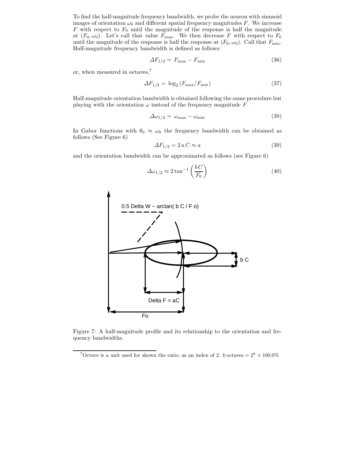To find the half-magnitude frequency bandwidth, we probe the neuron with sinusoid images of orientation  $\omega_0$  and different spatial frequency magnitudes F. We increase  $F$  with respect to  $F_0$  until the magnitude of the response is half the magnitude at  $(F_0, \omega_0)$ . Let's call that value  $F_{\text{max}}$ . We then decrease F with respect to  $F_0$ until the magnitude of the response is half the response at  $(F_0, \omega_0)$ . Call that  $F_{\text{min}}$ . Half-magnitude frequency bandwidth is defined as follows:

$$
\Delta F_{1/2} = F_{\text{max}} - F_{\text{min}} \tag{36}
$$

or, when measured in octaves,<sup>7</sup>

$$
\Delta F_{1/2} = \log_2 \left( F_{\text{max}} / F_{\text{min}} \right) \tag{37}
$$

Half-magnitude orientation bandwidth is obtained following the same procedure but playing with the orientation  $\omega$  instead of the frequency magnitude  $F$ .

$$
\Delta\omega_{1/2} = \omega_{\text{max}} - \omega_{\text{min}} \tag{38}
$$

In Gabor functions with  $\theta_0 \approx \omega_0$  the frequency bandwidth can be obtained as follows (See Figure 6)

$$
\Delta F_{1/2} = 2 a C \approx a \tag{39}
$$

and the orientation bandwidth can be approximated as follows (see Figure 6)

$$
\Delta \omega_{1/2} \approx 2 \tan^{-1} \left( \frac{b \, C}{F_0} \right) \tag{40}
$$



Figure 7: A half-magnitude profile and its relationship to the orientation and frequency bandwidths.

<sup>&</sup>lt;sup>7</sup>Octave is a unit used for shown the ratio, as an index of 2. k octaves  $= 2^k \times 100.0\%$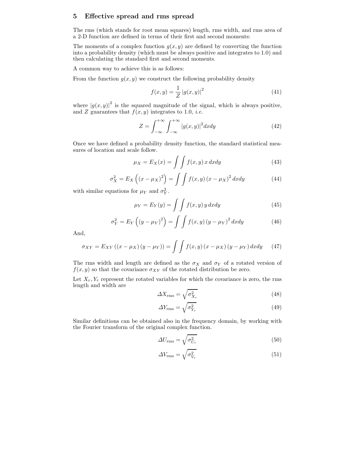## 5 Effective spread and rms spread

The rms (which stands for root mean squares) length, rms width, and rms area of a 2-D function are defined in terms of their first and second moments:

The moments of a complex function  $g(x, y)$  are defined by converting the function into a probability density (which must be always positive and integrates to 1.0) and then calculating the standard first and second moments.

A common way to achieve this is as follows:

From the function  $g(x, y)$  we construct the following probability density

$$
f(x,y) = \frac{1}{Z} |g(x,y)|^2
$$
 (41)

where  $|g(x, y)|^2$  is the squared magnitude of the signal, which is always positive, and Z guarantees that  $f(x, y)$  integrates to 1.0, *i.e.* 

$$
Z = \int_{-\infty}^{+\infty} \int_{-\infty}^{+\infty} |g(x, y)|^2 dx dy
$$
 (42)

Once we have defined a probability density function, the standard statistical measures of location and scale follow.

$$
\mu_X = E_X(x) = \int \int f(x, y) \, x \, dx dy \tag{43}
$$

$$
\sigma_X^2 = E_X\left(\left(x - \mu_X\right)^2\right) = \int \int f(x, y) \left(x - \mu_X\right)^2 dx dy \tag{44}
$$

with similar equations for  $\mu_Y$  and  $\sigma_Y^2$ .

$$
\mu_Y = E_Y(y) = \int \int f(x, y) y \, dx dy \tag{45}
$$

$$
\sigma_Y^2 = E_Y \left( \left( y - \mu_Y \right)^2 \right) = \int \int f(x, y) \left( y - \mu_Y \right)^2 dx dy \tag{46}
$$

And,

$$
\sigma_{XY} = E_{XY} ((x - \mu_X)(y - \mu_Y)) = \int \int f(x, y) (x - \mu_X)(y - \mu_Y) dx dy \qquad (47)
$$

The rms width and length are defined as the  $\sigma_X$  and  $\sigma_Y$  of a rotated version of  $f(x, y)$  so that the covariance  $\sigma_{XY}$  of the rotated distribution be zero.

Let  $X_r, Y_r$  represent the rotated variables for which the covariance is zero, the rms length and width are

$$
\Delta X_{\rm rms} = \sqrt{\sigma_{X_r}^2} \tag{48}
$$

$$
\Delta Y_{\rm rms} = \sqrt{\sigma_{Y_r}^2} \tag{49}
$$

Similar definitions can be obtained also in the frequency domain, by working with the Fourier transform of the original complex function.

$$
\Delta U_{\rm rms} = \sqrt{\sigma_{U_r}^2} \tag{50}
$$

$$
\Delta V_{\rm rms} = \sqrt{\sigma_{V_r}^2} \tag{51}
$$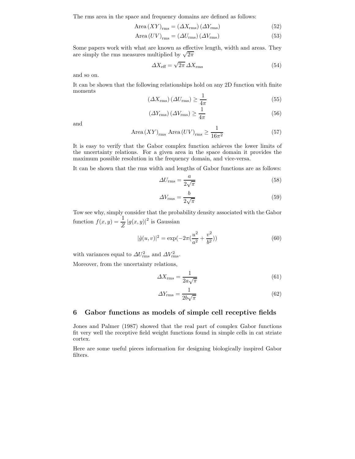The rms area in the space and frequency domains are defined as follows:

$$
Area (XY)_{rms} = (\Delta X_{rms}) (\Delta Y_{rms})
$$
\n(52)

$$
Area (UV)_{rms} = (\Delta U_{rms}) (\Delta V_{rms})
$$
\n(53)

Some papers work with what are known as effective length, width and areas. They are simply the rms measures multiplied by  $\sqrt{2\pi}$ 

$$
\Delta X_{\text{eff}} = \sqrt{2\pi} \,\Delta X_{\text{rms}} \tag{54}
$$

and so on.

It can be shown that the following relationships hold on any 2D function with finite moments

$$
\left(\Delta X_{\rm rms}\right)\left(\Delta U_{\rm rms}\right) \ge \frac{1}{4\pi} \tag{55}
$$

$$
\left(\Delta Y_{\rm rms}\right)\left(\Delta V_{\rm rms}\right) \ge \frac{1}{4\pi} \tag{56}
$$

and

$$
\text{Area}\,(XY)_{\text{rms}}\,\text{Area}\,(UV)_{\text{rms}} \ge \frac{1}{16\pi^2} \tag{57}
$$

It is easy to verify that the Gabor complex function achieves the lower limits of the uncertainty relations. For a given area in the space domain it provides the maximum possible resolution in the frequency domain, and vice-versa.

It can be shown that the rms width and lengths of Gabor functions are as follows:

$$
\Delta U_{\rm rms} = \frac{a}{2\sqrt{\pi}}\tag{58}
$$

$$
\Delta V_{\rm rms} = \frac{b}{2\sqrt{\pi}}\tag{59}
$$

Tow see why, simply consider that the probability density associated with the Gabor function  $f(x, y) = \frac{1}{Z} |g(x, y)|^2$  is Gaussian

$$
|\hat{g}(u,v)|^2 = \exp(-2\pi(\frac{u^2}{a^2} + \frac{v^2}{b^2}))
$$
\n(60)

with variances equal to  $\Delta U_{\rm rms}^2$  and  $\Delta V_{\rm rms}^2$ .

Moreover, from the uncertainty relations,

$$
\Delta X_{\rm rms} = \frac{1}{2a\sqrt{\pi}}\tag{61}
$$

$$
\Delta Y_{\rm rms} = \frac{1}{2b\sqrt{\pi}}\tag{62}
$$

# 6 Gabor functions as models of simple cell receptive fields

Jones and Palmer (1987) showed that the real part of complex Gabor functions fit very well the receptive field weight functions found in simple cells in cat striate cortex.

Here are some useful pieces information for designing biologically inspired Gabor filters.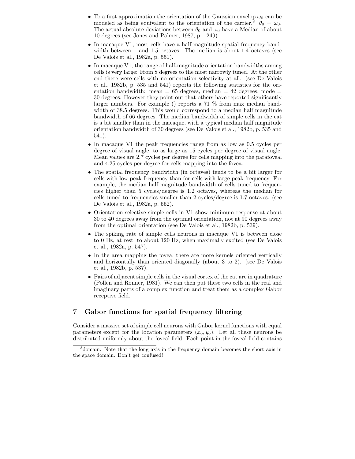- To a first approximation the orientation of the Gaussian envelop  $\omega_0$  can be modeled as being equivalent to the orientation of the carrier.<sup>8</sup>  $\theta_0 = \omega_0$ . The actual absolute deviations between  $\theta_0$  and  $\omega_0$  have a Median of about 10 degrees (see Jones and Palmer, 1987, p. 1249).
- In macaque V1, most cells have a half magnitude spatial frequency bandwidth between 1 and 1.5 octaves. The median is about 1.4 octaves (see De Valois et al., 1982a, p. 551).
- In macaque V1, the range of half-magnitude orientation bandwidths among cells is very large: From 8 degrees to the most narrowly tuned. At the other end there were cells with no orientation selectivity at all. (see De Valois et al., 1982b, p. 535 and 541) reports the following statistics for the orientation bandwidth: mean  $= 65$  degrees, median  $= 42$  degrees, mode  $=$ 30 degrees. However they point out that others have reported significantly larger numbers. For example () reports a 71 % from max median bandwidth of 38.5 degrees. This would correspond to a median half magnitude bandwidth of 66 degrees. The median bandwidth of simple cells in the cat is a bit smaller than in the macaque, with a typical median half magnitude orientation bandwidth of 30 degrees (see De Valois et al., 1982b, p. 535 and 541).
- In macaque V1 the peak frequencies range from as low as 0.5 cycles per degree of visual angle, to as large as 15 cycles per degree of visual angle. Mean values are 2.7 cycles per degree for cells mapping into the parafoveal and 4.25 cycles per degree for cells mapping into the fovea.
- The spatial frequency bandwidth (in octaves) tends to be a bit larger for cells with low peak frequency than for cells with large peak frequency. For example, the median half magnitude bandwidth of cells tuned to frequencies higher than 5 cycles/degree is 1.2 octaves, whereas the median for cells tuned to frequencies smaller than 2 cycles/degree is 1.7 octaves. (see De Valois et al., 1982a, p. 552).
- Orientation selective simple cells in V1 show minimum response at about 30 to 40 degrees away from the optimal orientation, not at 90 degrees away from the optimal orientation (see De Valois et al., 1982b, p. 539).
- The spiking rate of simple cells neurons in macaque V1 is between close to 0 Hz, at rest, to about 120 Hz, when maximally excited (see De Valois et al., 1982a, p. 547).
- In the area mapping the fovea, there are more kernels oriented vertically and horizontally than oriented diagonally (about 3 to 2). (see De Valois et al., 1982b, p. 537).
- Pairs of adjacent simple cells in the visual cortex of the cat are in quadrature (Pollen and Ronner, 1981). We can then put these two cells in the real and imaginary parts of a complex function and treat them as a complex Gabor receptive field.

# 7 Gabor functions for spatial frequency filtering

Consider a massive set of simple cell neurons with Gabor kernel functions with equal parameters except for the location parameters  $(x_0, y_0)$ . Let all these neurons be distributed uniformly about the foveal field. Each point in the foveal field contains

<sup>8</sup> domain. Note that the long axis in the frequency domain becomes the short axis in the space domain. Don't get confused!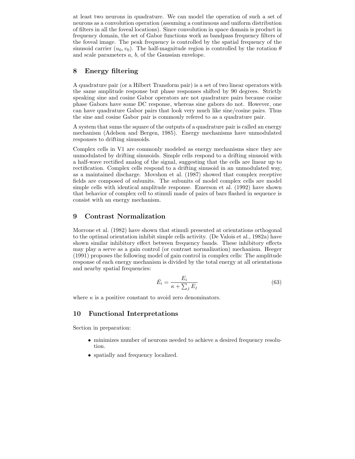at least two neurons in quadrature. We can model the operation of such a set of neurons as a convolution operation (assuming a continuous and uniform distribution of filters in all the foveal locations). Since convolution in space domain is product in frequency domain, the set of Gabor functions work as bandpass frequency filters of the foveal image. The peak frequency is controlled by the spatial frequency of the sinusoid carrier  $(u_0, v_0)$ . The half-magnitude region is controlled by the rotation  $\theta$ and scale parameters a, b, of the Gaussian envelope.

# 8 Energy filtering

A quadrature pair (or a Hilbert Transform pair) is a set of two linear operators with the same amplitude response but phase responses shifted by 90 degrees. Strictly speaking sine and cosine Gabor operators are not quadrature pairs because cosine phase Gabors have some DC response, whereas sine gabors do not. However, one can have quadrature Gabor pairs that look very much like sine/cosine pairs. Thus the sine and cosine Gabor pair is commonly refered to as a quadrature pair.

A system that sums the square of the outputs of a quadrature pair is called an energy mechanism (Adelson and Bergen, 1985). Energy mechanisms have unmodulated responses to drifting sinusoids.

Complex cells in V1 are commonly modeled as energy mechanisms since they are unmodulated by drifting sinusoids. Simple cells respond to a drifting sinusoid with a half-wave rectified analog of the signal, suggesting that the cells are linear up to rectification. Complex cells respond to a drifting sinusoid in an unmodulated way, as a maintained discharge. Movshon et al. (1987) showed that complex receptive fields are composed of subunits. The subunits of model complex cells are model simple cells with identical amplitude response. Emerson et al. (1992) have shown that behavior of complex cell to stimuli made of pairs of bars flashed in sequence is consist with an energy mechanism.

# 9 Contrast Normalization

Morrone et al. (1982) have shown that stimuli presented at orientations orthogonal to the optimal orientation inhibit simple cells activity. (De Valois et al., 1982a) have shown similar inhibitory effect between frequency bands. These inhibitory effects may play a serve as a gain control (or contrast normalization) mechanism. Heeger (1991) proposes the following model of gain control in complex cells: The amplitude response of each energy mechanism is divided by the total energy at all orientations and nearby spatial frequencies:

$$
\bar{E}_i = \frac{E_i}{\kappa + \sum_j E_j} \tag{63}
$$

where  $\kappa$  is a positive constant to avoid zero denominators.

# 10 Functional Interpretations

Section in preparation:

- minimizes number of neurons needed to achieve a desired frequency resolution.
- spatially and frequency localized.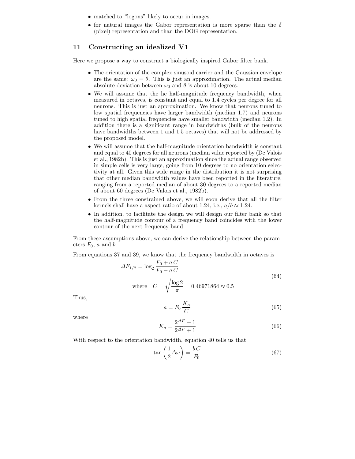- matched to "logons" likely to occur in images.
- for natural images the Gabor representation is more sparse than the  $\delta$ (pixel) representation and than the DOG representation.

# 11 Constructing an idealized V1

Here we propose a way to construct a biologically inspired Gabor filter bank.

- The orientation of the complex sinusoid carrier and the Gaussian envelope are the same:  $\omega_0 = \theta$ . This is just an approximation. The actual median absolute deviation between  $\omega_0$  and  $\theta$  is about 10 degrees.
- We will assume that the he half-magnitude frequency bandwidth, when measured in octaves, is constant and equal to 1.4 cycles per degree for all neurons. This is just an approximation. We know that neurons tuned to low spatial frequencies have larger bandwidth (median 1.7) and neurons tuned to high spatial frequencies have smaller bandwidth (median 1.2). In addition there is a significant range in bandwidths (bulk of the neurons have bandwidths between 1 and 1.5 octaves) that will not be addressed by the proposed model.
- We will assume that the half-magnitude orientation bandwidth is constant and equal to 40 degrees for all neurons (median value reported by (De Valois et al., 1982b). This is just an approximation since the actual range observed in simple cells is very large, going from 10 degrees to no orientation selectivity at all. Given this wide range in the distribution it is not surprising that other median bandwidth values have been reported in the literature, ranging from a reported median of about 30 degrees to a reported median of about 60 degrees (De Valois et al., 1982b).
- From the three constrained above, we will soon derive that all the filter kernels shall have a aspect ratio of about 1.24, i.e.,  $a/b \approx 1.24$ .
- In addition, to facilitate the design we will design our filter bank so that the half-magnitude contour of a frequency band coincides with the lower contour of the next frequency band.

From these assumptions above, we can derive the relationship between the parameters  $F_0$ , a and b.

From equations 37 and 39, we know that the frequency bandwidth in octaves is

$$
\Delta F_{1/2} = \log_2 \frac{F_0 + aC}{F_0 - aC}
$$
  
where  $C = \sqrt{\frac{\log 2}{\pi}} = 0.46971864 \approx 0.5$  (64)

Thus,

$$
a = F_0 \frac{K_a}{C} \tag{65}
$$

where

$$
K_a = \frac{2^{\Delta F} - 1}{2^{\Delta F} + 1} \tag{66}
$$

With respect to the orientation bandwidth, equation 40 tells us that

$$
\tan\left(\frac{1}{2}\Delta\omega\right) = \frac{bC}{F_0} \tag{67}
$$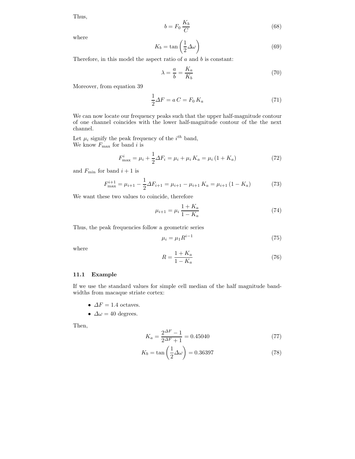Thus,

$$
b = F_0 \frac{K_b}{C} \tag{68}
$$

where

$$
K_b = \tan\left(\frac{1}{2}\Delta\omega\right) \tag{69}
$$

Therefore, in this model the aspect ratio of  $a$  and  $b$  is constant:

$$
\lambda = \frac{a}{b} = \frac{K_a}{K_b} \tag{70}
$$

Moreover, from equation 39

$$
\frac{1}{2}\Delta F = aC = F_0 K_a \tag{71}
$$

We can now locate our frequency peaks such that the upper half-magnitude contour of one channel coincides with the lower half-magnitude contour of the the next channel.

Let  $\mu_i$  signify the peak frequency of the  $i^{th}$  band, We know  $F_{\text{max}}$  for band i is

$$
F_{\text{max}}^i = \mu_i + \frac{1}{2}\Delta F_i = \mu_i + \mu_i K_a = \mu_i (1 + K_a)
$$
\n(72)

and  $F_{\text{min}}$  for band  $i + 1$  is

$$
F_{\text{max}}^{i+1} = \mu_{i+1} - \frac{1}{2}\Delta F_{i+1} = \mu_{i+1} - \mu_{i+1} K_a = \mu_{i+1} (1 - K_a)
$$
 (73)

We want these two values to coincide, therefore

$$
\mu_{i+1} = \mu_i \frac{1 + K_a}{1 - K_a} \tag{74}
$$

Thus, the peak frequencies follow a geometric series

$$
\mu_i = \mu_1 R^{i-1} \tag{75}
$$

where

$$
R = \frac{1 + K_a}{1 - K_a} \tag{76}
$$

## 11.1 Example

If we use the standard values for simple cell median of the half magnitude bandwidths from macaque striate cortex:

- $\Delta F = 1.4$  octaves.
- $\Delta \omega = 40$  degrees.

Then,

$$
K_a = \frac{2^{\Delta F} - 1}{2^{\Delta F} + 1} = 0.45040\tag{77}
$$

$$
K_b = \tan\left(\frac{1}{2}\Delta\omega\right) = 0.36397\tag{78}
$$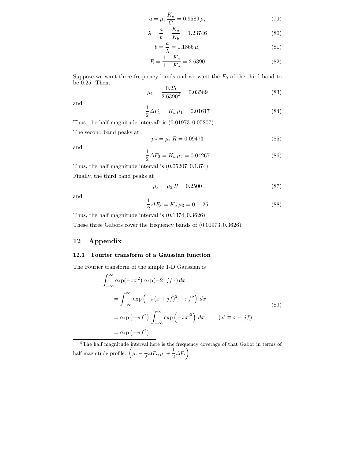$$
a = \mu_i \frac{K_a}{C} = 0.9589 \,\mu_i \tag{79}
$$

$$
\lambda = \frac{a}{b} = \frac{K_a}{K_b} = 1.23746\tag{80}
$$

$$
b = \frac{a}{\lambda} = 1.1866 \,\mu_i \tag{81}
$$

$$
R = \frac{1 + K_a}{1 - K_a} = 2.6390\tag{82}
$$

Suppose we want three frequency bands and we want the  $F_0$  of the third band to be 0.25. Then,

$$
\mu_1 = \frac{0.25}{2.6390^2} = 0.03589\tag{83}
$$

and

$$
\frac{1}{2}\Delta F_1 = K_a \,\mu_1 = 0.01617\tag{84}
$$

Thus, the half magnitude interval<sup>9</sup> is  $(0.01973, 0.05207)$ 

The second band peaks at

$$
\mu_2 = \mu_1 R = 0.09473 \tag{85}
$$

and

$$
\frac{1}{2}\Delta F_2 = K_a \,\mu_2 = 0.04267\tag{86}
$$

Thus, the half magnitude interval is (0.05207, 0.1374)

Finally, the third band peaks at

$$
\mu_3 = \mu_2 R = 0.2500 \tag{87}
$$

and

$$
\frac{1}{2}\Delta F_3 = K_a \,\mu_3 = 0.1126\tag{88}
$$

Thus, the half magnitude interval is (0.1374, 0.3626)

These three Gabors cover the frequency bands of (0.01973, 0.3626)

# 12 Appendix

## 12.1 Fourier transform of a Gaussian function

The Fourier transform of the simple 1-D Gaussian is

$$
\int_{-\infty}^{\infty} \exp(-\pi x^2) \exp(-2\pi j f x) dx
$$
  
= 
$$
\int_{-\infty}^{\infty} \exp(-\pi (x+jf)^2 - \pi f^2) dx
$$
  
= 
$$
\exp(-\pi f^2) \int_{-\infty}^{\infty} \exp(-\pi x'^2) dx' \qquad (x' \equiv x+jf)
$$
  
= 
$$
\exp(-\pi f^2)
$$
 (89)

<sup>9</sup>The half magnitude interval here is the frequency coverage of that Gabor in terms of half-magnitude profile:  $\left(\mu_i - \frac{1}{2}\right)$  $\frac{1}{2}\Delta F_i$ ,  $\mu_i + \frac{1}{2}$  $\frac{1}{2}\Delta F_i\biggr)$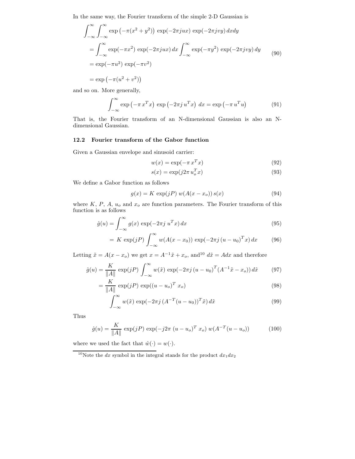In the same way, the Fourier transform of the simple 2-D Gaussian is

$$
\int_{-\infty}^{\infty} \int_{-\infty}^{\infty} \exp(-\pi(x^2 + y^2)) \exp(-2\pi jux) \exp(-2\pi jvy) dx dy
$$
  
= 
$$
\int_{-\infty}^{\infty} \exp(-\pi x^2) \exp(-2\pi jux) dx \int_{-\infty}^{\infty} \exp(-\pi y^2) \exp(-2\pi jvy) dy
$$
  
= 
$$
\exp(-\pi u^2) \exp(-\pi v^2)
$$
  
= 
$$
\exp(-\pi (u^2 + v^2))
$$
 (90)

and so on. More generally,

$$
\int_{-\infty}^{\infty} \exp\left(-\pi x^T x\right) \exp\left(-2\pi j u^T x\right) dx = \exp\left(-\pi u^T u\right) \tag{91}
$$

That is, the Fourier transform of an N-dimensional Gaussian is also an Ndimensional Gaussian.

## 12.2 Fourier transform of the Gabor function

Given a Gaussian envelope and sinusoid carrier:

$$
w(x) = \exp(-\pi x^T x) \tag{92}
$$

$$
s(x) = \exp(j2\pi u_o^T x) \tag{93}
$$

We define a Gabor function as follows

$$
g(x) = K \exp(jP) w(A(x - xo)) s(x)
$$
\n(94)

where  $K, P, A, u<sub>o</sub>$  and  $x<sub>o</sub>$  are function parameters. The Fourier transform of this function is as follows

$$
\hat{g}(u) = \int_{-\infty}^{\infty} g(x) \exp(-2\pi j u^T x) dx
$$
\n(95)

$$
= K \exp(jP) \int_{-\infty}^{\infty} w(A(x - x_0)) \exp(-2\pi j (u - u_0)^T x) dx \qquad (96)
$$

Letting  $\tilde{x} = A(x - x_o)$  we get  $x = A^{-1}\tilde{x} + x_o$ , and  $\tilde{dx} = Adx$  and therefore

$$
\hat{g}(u) = \frac{K}{\|A\|} \exp(jP) \int_{-\infty}^{\infty} w(\tilde{x}) \exp(-2\pi j (u - u_0)^T (A^{-1}\tilde{x} - x_o)) d\tilde{x}
$$
(97)

$$
= \frac{K}{\|A\|} \exp(jP) \exp((u - u_o)^T x_o) \tag{98}
$$

$$
\int_{-\infty}^{\infty} w(\tilde{x}) \exp(-2\pi j \left(A^{-T} (u - u_0)\right)^T \tilde{x}) d\tilde{x}
$$
\n(99)

Thus

$$
\hat{g}(u) = \frac{K}{\|A\|} \exp(jP) \exp(-j2\pi (u - u_o)^T x_o) w(A^{-T}(u - u_o))
$$
 (100)

where we used the fact that  $\hat{w}(\cdot) = w(\cdot)$ .

<sup>&</sup>lt;sup>10</sup>Note the dx symbol in the integral stands for the product  $dx_1dx_2$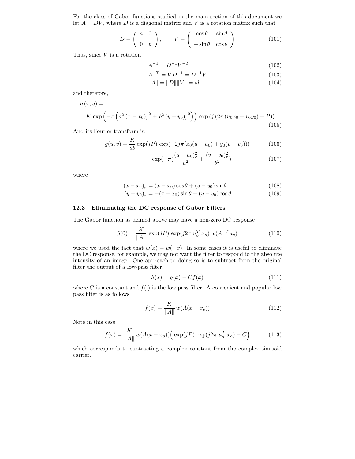For the class of Gabor functions studied in the main section of this document we let  $A = DV$ , where D is a diagonal matrix and V is a rotation matrix such that

$$
D = \begin{pmatrix} a & 0 \\ 0 & b \end{pmatrix}, \qquad V = \begin{pmatrix} \cos \theta & \sin \theta \\ -\sin \theta & \cos \theta \end{pmatrix}
$$
 (101)

Thus, since  $V$  is a rotation

$$
A^{-1} = D^{-1}V^{-T} \tag{102}
$$

$$
A^{-T} = V D^{-1} = D^{-1} V \tag{103}
$$

$$
||A|| = ||D|| ||V|| = ab \t(104)
$$

and therefore,

$$
g(x,y) = K \exp\left(-\pi \left(a^2 \left(x - x_0\right)_r^2 + b^2 \left(y - y_0\right)_r^2\right)\right) \exp\left(j \left(2\pi \left(u_0 x_0 + v_0 y_0\right) + P\right)\right) \tag{105}
$$

And its Fourier transform is:

$$
\hat{g}(u,v) = \frac{K}{ab} \exp(jP) \exp(-2j\pi(x_0(u-u_0) + y_0(v-v_0)))
$$
\n(106)

$$
\exp(-\pi(\frac{(u-u_0)_r^2}{a^2} + \frac{(v-v_0)_r^2}{b^2})
$$
\n(107)

where

$$
(x - x_0)_r = (x - x_0)\cos\theta + (y - y_0)\sin\theta
$$
 (108)

$$
(y - y_0)_r = -(x - x_0)\sin\theta + (y - y_0)\cos\theta \tag{109}
$$

#### 12.3 Eliminating the DC response of Gabor Filters

The Gabor function as defined above may have a non-zero DC response

$$
\hat{g}(0) = \frac{K}{\|A\|} \exp(jP) \exp(j2\pi u_o^T x_o) w(A^{-T} u_o)
$$
\n(110)

where we used the fact that  $w(x) = w(-x)$ . In some cases it is useful to eliminate the DC response, for example, we may not want the filter to respond to the absolute intensity of an image. One approach to doing so is to subtract from the original filter the output of a low-pass filter.

$$
h(x) = g(x) - Cf(x) \tag{111}
$$

where C is a constant and  $f(.)$  is the low pass filter. A convenient and popular low pass filter is as follows

$$
f(x) = \frac{K}{\|A\|} w(A(x - x_o))
$$
\n(112)

Note in this case

$$
f(x) = \frac{K}{\|A\|} w(A(x - x_o)) \Big( \exp(jP) \exp(j2\pi u_o^T x_o) - C \Big)
$$
 (113)

which corresponds to subtracting a complex constant from the complex sinusoid carrier.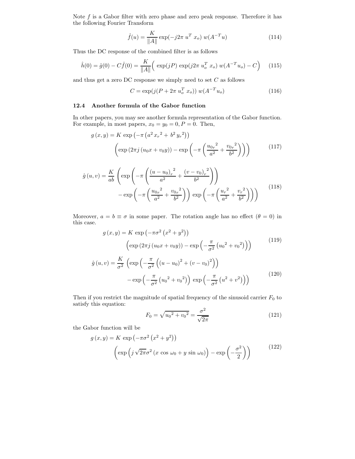Note  $f$  is a Gabor filter with zero phase and zero peak response. Therefore it has the following Fourier Transform

$$
\hat{f}(u) = \frac{K}{\|A\|} \exp(-j2\pi u^T x_o) w(A^{-T}u)
$$
\n(114)

Thus the DC response of the combined filter is as follows

$$
\hat{h}(0) = \hat{g}(0) - C\hat{f}(0) = \frac{K}{\|A\|} \Big( \exp(jP) \exp(j2\pi u_o^T x_o) w(A^{-T} u_o) - C \Big) \tag{115}
$$

and thus get a zero DC response we simply need to set  $C$  as follows

$$
C = \exp(j(P + 2\pi u_o^T x_o)) w(A^{-T} u_o)
$$
\n(116)

## 12.4 Another formula of the Gabor function

In other papers, you may see another formula representation of the Gabor function. For example, in most papers,  $x_0 = y_0 = 0$ ,  $P = 0$ . Then,

$$
g(x,y) = K \exp\left(-\pi \left(a^2 x_r^2 + b^2 y_r^2\right)\right)
$$

$$
\left(\exp\left(2\pi j \left(u_0 x + v_0 y\right)\right) - \exp\left(-\pi \left(\frac{u_{0r}^2}{a^2} + \frac{v_{0r}^2}{b^2}\right)\right)\right) \tag{117}
$$

$$
\hat{g}(u,v) = \frac{K}{ab} \left( \exp\left( -\pi \left( \frac{(u - u_0)_r^2}{a^2} + \frac{(v - v_0)_r^2}{b^2} \right) \right) - \exp\left( -\pi \left( \frac{u_0 r^2}{a^2} + \frac{v_0 r^2}{b^2} \right) \right) \exp\left( -\pi \left( \frac{u_r^2}{a^2} + \frac{v_r^2}{b^2} \right) \right) \right)
$$
\n(118)

Moreover,  $a = b \equiv \sigma$  in some paper. The rotation angle has no effect  $(\theta = 0)$  in this case.

$$
g(x,y) = K \exp(-\pi \sigma^2 (x^2 + y^2))
$$
  
\n
$$
\left(\exp(2\pi j (u_0 x + v_0 y)) - \exp(-\frac{\pi}{\sigma^2} (u_0^2 + v_0^2))\right)
$$
\n
$$
\hat{g}(u,v) = \frac{K}{\sigma^2} \left(\exp(-\frac{\pi}{\sigma^2} ((u - u_0)^2 + (v - v_0)^2))\right)
$$
\n
$$
-\exp(-\frac{\pi}{\sigma^2} (u_0^2 + v_0^2)) \exp(-\frac{\pi}{\sigma^2} (u^2 + v^2))
$$
\n(120)

Then if you restrict the magnitude of spatial frequency of the sinusoid carrier  $F_0$  to satisfy this equation:

$$
F_0 = \sqrt{u_0^2 + v_0^2} = \frac{\sigma^2}{\sqrt{2\pi}}\tag{121}
$$

the Gabor function will be

$$
g(x,y) = K \exp(-\pi\sigma^2 (x^2 + y^2))
$$

$$
\left(\exp\left(j\sqrt{2\pi}\sigma^2 (x\cos\omega_0 + y\sin\omega_0)\right) - \exp\left(-\frac{\sigma^2}{2}\right)\right)
$$
(122)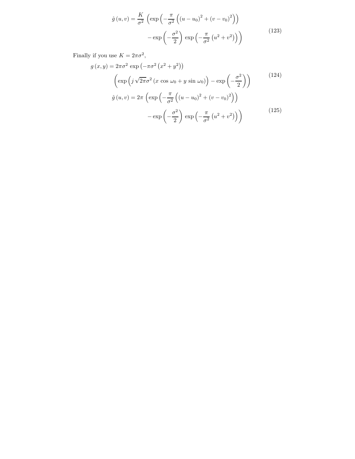$$
\hat{g}(u,v) = \frac{K}{\sigma^2} \left( \exp\left(-\frac{\pi}{\sigma^2} \left( (u - u_0)^2 + (v - v_0)^2 \right) \right) - \exp\left(-\frac{\sigma^2}{2} \right) \exp\left(-\frac{\pi}{\sigma^2} \left( u^2 + v^2 \right) \right) \right)
$$
\n(123)

Finally if you use  $K = 2\pi\sigma^2$ ,

$$
g(x,y) = 2\pi\sigma^2 \exp\left(-\pi\sigma^2 (x^2 + y^2)\right)
$$

$$
\left(\exp\left(j\sqrt{2\pi}\sigma^2 (x\cos\omega_0 + y\sin\omega_0)\right) - \exp\left(-\frac{\sigma^2}{2}\right)\right)
$$

$$
\hat{g}(u,v) = 2\pi \left(\exp\left(-\frac{\pi}{\sigma^2} \left((u-u_0)^2 + (v-v_0)^2\right)\right)\right)
$$

$$
-\exp\left(-\frac{\sigma^2}{2}\right)\exp\left(-\frac{\pi}{\sigma^2} (u^2 + v^2)\right)\right)
$$
(125)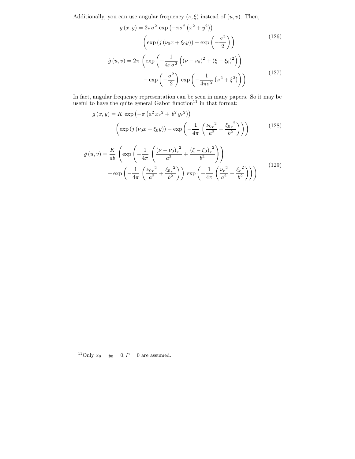Additionally, you can use angular frequency  $(\nu, \xi)$  instead of  $(u, v)$ . Then,

$$
g(x,y) = 2\pi\sigma^2 \exp(-\pi\sigma^2 (x^2 + y^2))
$$

$$
\left(\exp(j(\nu_0 x + \xi_0 y)) - \exp\left(-\frac{\sigma^2}{2}\right)\right)
$$

$$
\hat{g}(u,v) = 2\pi \left(\exp\left(-\frac{1}{4\pi\sigma^2}\left((\nu - \nu_0)^2 + (\xi - \xi_0)^2\right)\right)\right)
$$

$$
-\exp\left(-\frac{\sigma^2}{2}\right)\exp\left(-\frac{1}{4\pi\sigma^2}(\nu^2 + \xi^2)\right)\right)
$$
(127)

In fact, angular frequency representation can be seen in many papers. So it may be useful to have the quite general Gabor function<sup>11</sup> in that format:

$$
g(x,y) = K \exp(-\pi (a^2 x_r^2 + b^2 y_r^2))
$$

$$
\left(\exp(j(\nu_0 x + \xi_0 y)) - \exp\left(-\frac{1}{4\pi} \left(\frac{\nu_0 r^2}{a^2} + \frac{\xi_0 r^2}{b^2}\right)\right)\right)
$$
(128)

$$
\hat{g}(u,v) = \frac{K}{ab} \left( \exp\left( -\frac{1}{4\pi} \left( \frac{(\nu - \nu_0)_r^2}{a^2} + \frac{(\xi - \xi_0)_r^2}{b^2} \right) \right) - \exp\left( -\frac{1}{4\pi} \left( \frac{\nu_0 r^2}{a^2} + \frac{\xi_0 r^2}{b^2} \right) \right) \exp\left( -\frac{1}{4\pi} \left( \frac{\nu_r^2}{a^2} + \frac{\xi_r^2}{b^2} \right) \right) \right)
$$
\n(129)

<sup>&</sup>lt;sup>11</sup>Only  $x_0 = y_0 = 0, P = 0$  are assumed.